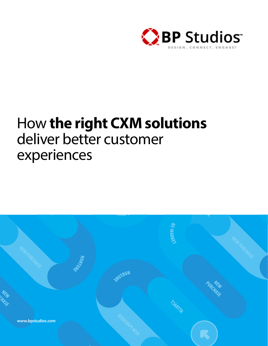

# How **the right CXM solutions** deliver better customer experiences

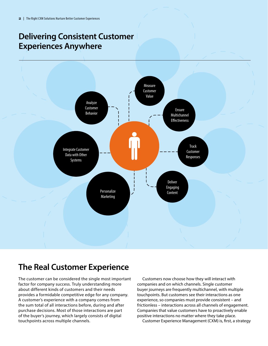## **Delivering Consistent Customer Experiences Anywhere**



## **The Real Customer Experience**

The customer can be considered the single most important factor for company success. Truly understanding more about different kinds of customers and their needs provides a formidable competitive edge for any company. A customer's experience with a company comes from the sum total of all interactions before, during and after purchase decisions. Most of those interactions are part of the buyer's journey, which largely consists of digital touchpoints across multiple channels.

Customers now choose how they will interact with companies and on which channels. Single customer buyer journeys are frequently multichannel, with multiple touchpoints. But customers see their interactions as one experience, so companies must provide consistent – and frictionless – interactions across all channels of engagement. Companies that value customers have to proactively enable positive interactions no matter where they take place.

Customer Experience Management (CXM) is, first, a strategy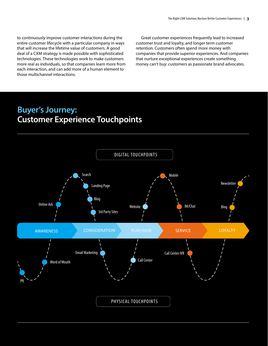to continuously improve customer interactions during the entire customer lifecycle with a particular company in ways that will increase the lifetime value of customers. A good deal of a CXM strategy is made possible with sophisticated technologies. These technologies work to make customers more real as individuals, so that companies learn more from each interaction, and can add more of a human element to those multichannel interactions.

Great customer experiences frequently lead to increased customer trust and loyalty, and longer term customer retention. Customers often spend more money with companies that provide superior experiences. And companies that nurture exceptional experiences create something money can't buy: customers as passionate brand advocates.

## **Buyer's Journey: Customer Experience Touchpoints**

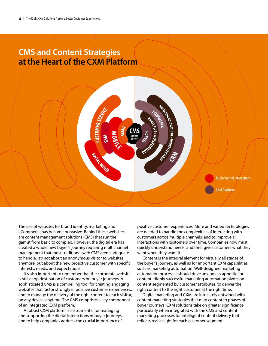### **CMS and Content Strategies at the Heart of the CXM Platform**

The use of websites for brand identity, marketing and eCommerce has become pervasive. Behind these websites are content management solutions (CMS) that run the gamut from basic to complex. However, the digital era has created a whole new buyer's journey requiring multichannel management that most traditional web CMS aren't adequate to handle. It's not about an anonymous visitor to websites anymore, but about the new proactive customer with specific interests, needs, and expectations.

SOCIALMEDIA

It's also important to remember that the corporate website is still a top destination of customers on buyer journeys. A sophisticated CMS is a compelling tool for creating engaging websites that factor strongly in positive customer experiences, and to manage the delivery of the right content to each visitor, on any device, anytime. The CMS comprises a key component of an integrated CXM platform.

A robust CXM platform is instrumental for managing and supporting the digital interactions of buyer journeys, and to help companies address the crucial importance of

positive customer experiences. More and varied technologies are needed to handle the complexities of interacting with customers across multiple channels, and to improve all interactions with customers over time. Companies now must quickly understand needs, and then give customers what they want when they want it.

CXM Platform

Multichannel Interactions

Content is the integral element for virtually all stages of the buyer's journey, as well as for important CXM capabilities such as marketing automation. Well-designed marketing automation processes should drive an endless appetite for content. Highly successful marketing automation pivots on content segmented by customer attributes, to deliver the right content to the right customer at the right time.

Digital marketing and CXM are intricately entwined with content marketing strategies that map content to phases of buyer journeys. CXM solutions take on greater significance particularly when integrated with the CMS and content marketing processes for intelligent content delivery that reflects real insight for each customer segment.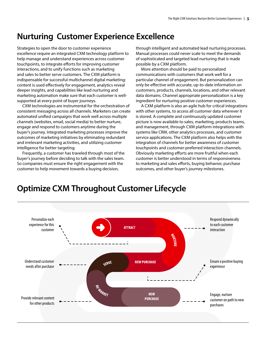### **Nurturing Customer Experience Excellence**

Strategies to open the door to customer experience excellence require an integrated CXM technology platform to help manage and understand experiences across customer touchpoints, to integrate efforts for improving customer interactions, and to unify functions such as marketing and sales to better serve customers. The CXM platform is indispensable for successful multichannel digital marketing: content is used effectively for engagement, analytics reveal deeper insights, and capabilities like lead nurturing and marketing automation make sure that each customer is wellsupported at every point of buyer journeys.

CXM technologies are instrumental for the orchestration of consistent messaging across all channels. Marketers can create automated unified campaigns that work well across multiple channels (websites, email, social media) to better nurture, engage and respond to customers anytime during the buyer's journey. Integrated marketing processes improve the outcomes of marketing initiatives by eliminating redundant and irrelevant marketing activities, and utilizing customer intelligence for better targeting.

Frequently, a customer has traveled through most of the buyer's journey before deciding to talk with the sales team. So companies must ensure the right engagement with the customer to help movement towards a buying decision,

through intelligent and automated lead nurturing processes. Manual processes could never scale to meet the demands of sophisticated and targeted lead nurturing that is made possible by a CXM platform.

More attention should be paid to personalized communications with customers that work well for a particular channel of engagement. But personalization can only be effective with accurate, up-to-date information on customers, products, channels, locations, and other relevant data domains. Channel appropriate personalization is a key ingredient for nurturing positive customer experiences.

A CXM platform is also an agile hub for critical integrations with other systems, to access all customer data wherever it is stored. A complete and continuously updated customer picture is now available to sales, marketing, products teams, and management, through CXM platform integrations with systems like CRM, other analytics processes, and customer service applications. The CXM platform also helps with the integration of channels for better awareness of customer touchpoints and customer-preferred interaction channels. Obviously marketing efforts are more fruitful when each customer is better understood in terms of responsiveness to marketing and sales efforts, buying behavior, purchase outcomes, and other buyer's journey milestones.



### **Optimize CXM Throughout Customer Lifecycle**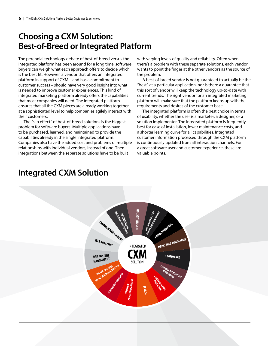# **Choosing a CXM Solution: Best-of-Breed or Integrated Platform**

The perennial technology debate of best-of-breed versus the integrated platform has been around for a long time; software buyers can weigh what each approach offers to decide which is the best fit. However, a vendor that offers an integrated platform in support of CXM – and has a commitment to customer success – should have very good insight into what is needed to improve customer experiences. This kind of integrated marketing platform already offers the capabilities that most companies will need. The integrated platform ensures that all the CXM pieces are already working together at a sophisticated level to help companies agilely interact with their customers.

The "silo effect" of best-of-breed solutions is the biggest problem for software buyers. Multiple applications have to be purchased, learned, and maintained to provide the capabilities already in the single integrated platform. Companies also have the added cost and problems of multiple relationships with individual vendors, instead of one. Then integrations between the separate solutions have to be built

with varying levels of quality and reliability. Often when there's a problem with these separate solutions, each vendor wants to point the finger at the other vendors as the source of the problem.

A best-of-breed vendor is not guaranteed to actually be the "best" at a particular application, nor is there a guarantee that this sort of vendor will keep the technology up-to-date with current trends. The right vendor for an integrated marketing platform will make sure that the platform keeps up with the requirements and desires of the customer base.

The integrated platform is often the best choice in terms of usability, whether the user is a marketer, a designer, or a solution implementer. The integrated platform is frequently best for ease of installation, lower maintenance costs, and a shorter learning curve for all capabilities. Integrated customer information processed through the CXM platform is continuously updated from all interaction channels. For a great software user and customer experience, these are valuable points.



# **Integrated CXM Solution**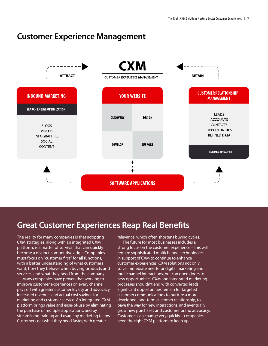#### **Customer Experience Management**



### **Great Customer Experiences Reap Real Benefits**

The reality for many companies is that adopting CXM strategies, along with an integrated CXM platform, is a matter of survival that can quickly become a distinct competitive edge. Companies must focus on "customer first" for all functions, with a better understanding of what customers want, how they behave when buying products and services, and what they need from the company.

Many companies have proven that working to improve customer experiences on every channel pays off with greater customer loyalty and advocacy, increased revenue, and actual cost savings for marketing and customer service. An integrated CXM platform brings value and ease-of-use by eliminating the purchase of multiple applications, and by streamlining training and usage by marketing teams. Customers get what they need faster, with greater

relevance, which often shortens buying cycles. The future for most businesses includes a strong focus on the customer experience – this will require sophisticated multichannel technologies in support of CXM to continue to enhance customer experiences. CXM solutions not only solve immediate needs for digital marketing and multichannel interactions, but can open doors to new opportunities. CXM and integrated marketing processes shouldn't end with converted leads. Significant opportunities remain for targeted customer communications to nurture a more developed long-term customer relationship, to pave the way for new interactions, and eventually grow new purchases and customer brand advocacy. Customers can change very quickly – companies need the right CXM platform to keep up.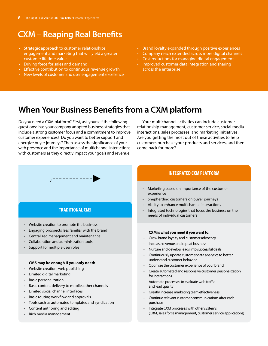## **CXM – Reaping Real Benefits**

- Strategic approach to customer relationships, engagement and marketing that will yield a greater customer lifetime value
- Driving force for sales and demand
- Effective contribution to continuous revenue growth
- New levels of customer and user engagement excellence
- Brand loyalty expanded through positive experiences
- Company reach extended across more digital channels
- Cost reductions for managing digital engagement
- Improved customer data integration and sharing across the enterprise

### **When Your Business Benefits from a CXM platform**

Do you need a CXM platform? First, ask yourself the following questions: has your company adopted business strategies that include a strong customer focus and a commitment to improve customer experiences? Do you want to better support and energize buyer journeys? Then assess the significance of your web presence and the importance of multichannel interactions with customers as they directly impact your goals and revenue.

Your multichannel activities can include customer relationship management, customer service, social media interactions, sales processes, and marketing initiatives. Are you getting the most out of these activities to help customers purchase your products and services, and then come back for more?

#### **INTEGRATED CXM PLATFORM**

- Marketing based on importance of the customer experience
- Shepherding customers on buyer journeys
- Ability to enhance multichannel interactions
- Integrated technologies that focus the business on the needs of individual customers

#### **CXM is what you need if you want to:**

- Grow brand loyalty and customer advocacy
- Increase revenue and repeat business
- Nurture and develop leads into successful deals
- Continuously update customer data analytics to better understand customer behavior
- Optimize the customer experience of your brand
- Create automated and responsive customer personalization for interactions
- Automate processes to evaluate web traffic and lead quality
- Greatly increase marketing team effectiveness
- Continue relevant customer communications after each purchase
- Integrate CXM processes with other systems (CRM, sales force management, customer service applications)



#### **CMS may be enough if you only need:**

- Website creation, web publishing
- Limited digital marketing
- Basic personalization
- Basic content delivery to mobile, other channels
- Limited social channel interfaces
- Basic routing workflow and approvals
- Tools such as automated templates and syndication
- Content authoring and editing
- Rich media management